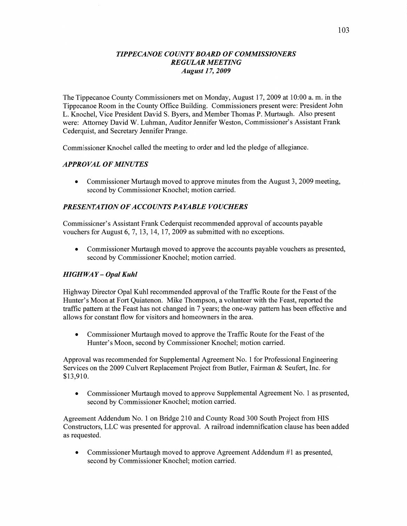#### *TIPPECANOE COUNTY BOARD* OF *COMMISSIONERS REGULAR MEETING August 1* 7, *2009*

The Tippecanoe County Commissioners met on Monday, August 17, 2009 at 10:00 a. m. in the Tippecanoe Room in the County Office Building. Commissioners present were: President John L. Knochel, Vice President David S. Byers, and Member Thomas P. Murtaugh. Also presen<sup>t</sup> were: Attorney David W. Luhman, Auditor Jennifer Weston, Commissioner's Assistant Frank Cederquist, and Secretary Jennifer Prange.

Commissioner Knochel called the meeting to order and led the pledge of allegiance.

## *APPROVAL* OF *MINUTES*

• Commissioner Murtaugh moved to approve minutes from the August 3, 2009 meeting, second by Commissioner Knochel; motion carried.

## *PRESENTATION* OF *ACCOUNT S* PA *YABLE VOUCHERS*

Commissioner's Assistant Frank Cederquist recommended approval of accounts payable vouchers for August 6, 7, 13, 14, 17, 2009 as submitted with no exceptions.

**0** Commissioner Murtaugh moved to approve the accounts payable vouchers as presented, second by Commissioner Knochel; motion carried.

#### *HIGHWAY* **—** *Opal Kuhl*

Highway Director Opal Kuhl recommended approval of the Traffic Route for the Feast of the Hunter's Moon at Fort Quiatenon. Mike Thompson, a volunteer with the Feast, reported the traffic pattern at the Feast has not changed in **7** years; the one-way pattern has been effective and allows for constant flow for visitors and homeowners in the area.

**0** Commissioner Murtaugh moved to approve the Traffic Route for the Feast of the Hunter's Moon, second by Commissioner Knochel; motion carried.

Approval was recommended for Supplemental Agreement No. **1** for Professional Engineering Services on the 2009 Culvert Replacement Project from Butler, Fairman & Seufert, Inc. for \$13,910.

**0** Commissioner Murtaugh moved to approve Supplemental Agreement No. **1** as presented, second by Commissioner Knochel; motion carried.

Agreement Addendum No. 1 on Bridge 210 and County Road 300 South Project from HIS Constructors, LLC was presented for approval. A railroad indemnification clause has **been** added as requested.

**0** Commissioner Murtaugh moved to approve Agreement Addendum #1 as presented, second by Commissioner Knochel; motion carried.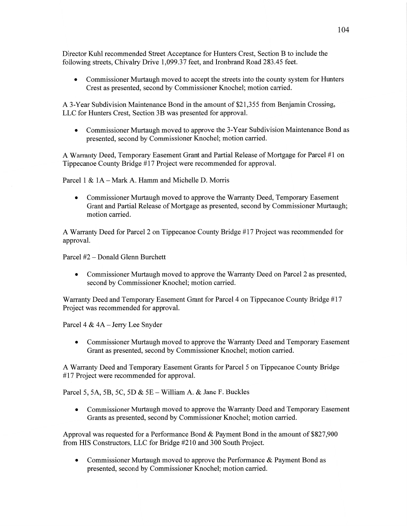Director Kuhl recommended Street Acceptance for Hunters Crest, Section B to include the following streets, Chivalry Drive 1,099.37 feet, and Ironbrand Road 283 .45 feet.

**0** Commissioner Murtaugh moved to accept the streets into the county system for Hunters Crest as presented, second by Commissioner Knochel; motion carried.

**A** 3-Year Subdivision Maintenance Bond in the amount of \$21,355 from Benjamin Crossing, LLC for Hunters Crest, Section 3B was presented for approval.

**0** Commissioner Murtaugh moved to approve the 3-Year Subdivision Maintenance Bond as presented, second by Commissioner Knochel; motion carried.

**A** Warranty Deed, Temporary Easement Grant and Partial Release of Mortgage for Parcel #1 on Tippecanoe County Bridge #17 Project were recommended for approval.

Parcel **1** & 1A **—** Mark A. **Hamm** and Michelle D. Morris

**0** Commissioner Murtaugh moved to approve the Warranty Deed, Temporary Easement Grant and Partial Release of Mortgage as presented, second by Commissioner Murtaugh; **motion** carried.

**A** Warranty Deed for Parcel 2 on Tippecanoe County Bridge #17 Project was recommended for approval.

Parcel #2 **—** Donald Glenn Burchett

**0** Commissioner Murtaugh moved to approve the Warranty Deed on Parcel 2 as presented, second by Commissioner Knochel; motion carried.

Warranty Deed and Temporary Easement Grant for Parcel 4 on Tippecanoe County Bridge #17 Project was recommended for approval.

Parcel 4 & 4A — Jerry Lee Snyder

**0** Commissioner Murtaugh moved to approve the Warranty Deed and Temporary Easement Grant as presented, second by Commissioner Knochel; motion carried.

**A** Warranty Deed and Temporary Easement Grants for Parcel 5 on Tippecanoe County Bridge #17 Project were recommended for approval.

Parcel 5, 5A, 5B, 5C, 5D & 5E — William A. & Jane F. Buckles

**0** Commissioner Murtaugh moved to approve the Warranty Deed and Temporary Easement Grants as presented, second by Commissioner Knochel; motion carried.

Approval was requested for a Performance Bond & Payment Bond in the **amount** of \$827,900 from HIS Constructors, LLC for Bridge #210 and 300 South Project.

**0** Commissioner Murtaugh moved to approve the Performance & Payment Bond as presented, second by Commissioner Knochel; motion carried.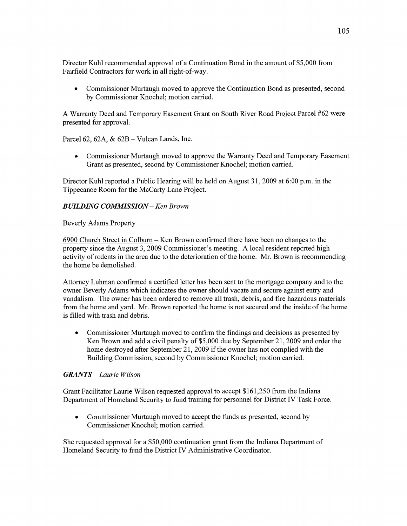Director Kuhl recommended approval of a Continuation Bond in the amount of \$5,000 from Fairfield Contractors for work in all right-of-way.

**0** Commissioner Murtaugh moved to approve the Continuation Bond as presented, second by Commissioner Knochel; motion carried.

**A** Warranty Deed and Temporary Easement Grant on South River Road Project Parcel #62 were presented for approval.

Parcel 62, 62A, & 62B — Vulcan Lands, **Inc.** 

**0** Commissioner Murtaugh moved to approve the Warranty Deed and Temporary Easement Grant as presented, second by Commissioner Knochel; motion carried.

Director Kuhl reported a Public Hearing will be held on August 31, 2009 at 6:00 pm. in the Tippecanoe Room for the McCarty Lane Project.

## *BUILDING COMMISSION* — Ken *Brown*

#### Beverly Adams Property

6900 Church Street in Colburn — Ken Brown confirmed there have been no changes to the property since the August 3, 2009 Commissioner's meeting. **A** local resident reported high activity of rodents in the area due to the deterioration of the home. Mr. Brown is recommending the home be demolished.

Attorney Luhman confirmed a certified letter has been sent to the mortgage company and to the owner Beverly Adams which indicates the owner should vacate and secure against entry and vandalism. The owner has been ordered to remove all trash, debris, and fire **hazardous** materials from the home and yard. Mr. Brown reported the home is not secured and the inside of the home is filled with trash and debris.

**0** Commissioner Murtaugh **moved** to confirm the findings and decisions as presented by Ken Brown and add **a** civil penalty of \$5,000 due by September 21, 2009 and order the home destroyed after September 21, 2009 if the owner has not complied with the Building Commission, second by Commissioner Knochel; motion carried.

## *GRANTS* — *Laurie Wilson*

Grant Facilitator Laurie Wilson requested approval to accept \$161,250 from the **Indiana**  Department of Homeland Security to fund training for personnel for District IV Task Force.

**0** Commissioner Murtaugh moved to accept the funds as presented, second by Commissioner Knochel; motion carried.

She requested approval for a \$50,000 continuation grant from the Indiana Department of Homeland Security to fund the District IV **Administrative** Coordinator.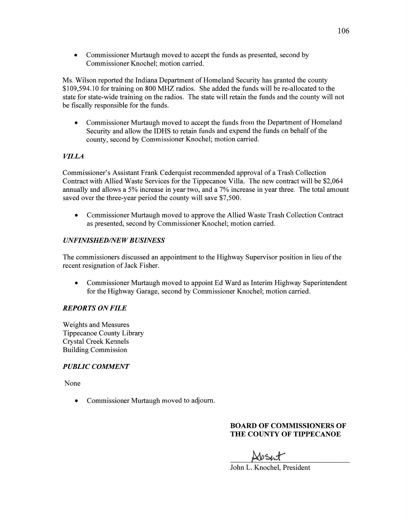• Commissioner Murtaugh moved to accept the funds as presented, second by Commissioner Knochel; motion carried.

Ms. Wilson reported the Indiana Department of Homeland Security has granted the county \$109,594.10 for training on 800 MHZ radios. She added the **funds** will be re-allocated to the state for state-Wide training on the radios. The state will retain the funds and the county will not be fiscally responsible for the **funds.** 

*0* Commissioner Murtaugh moved to accept the funds from the Department of Homeland Security and allow the IDHS to retain funds and expend the funds on behalf of the county, second by Commissioner Knochel; motion carried.

## *VILLA*

Commissioner's Assistant Frank Cederquist recommended approval of a Trash Collection Contract with Allied Waste Services for the Tippecanoe Villa. The new contract will be \$2,064 annually and allows a 5% increase in year two, and a 7% increase in year three. The total amount saved over the three-year period the county will save \$7,500.

**0** Commissioner Murtaugh moved to approve the Allied Waste Trash Collection Contract as presented, second by Commissioner Knochel; motion carried.

## *UNFINISHEDflVE W B USINESS*

The commissioners discussed an appointment to the Highway Supervisor position in lieu of the recent resignation of Jack Fisher.

**0** Commissioner Murtaugh moved to appoint Ed Ward as Interim Highway Superintendent for the Highway Garage, second by Commissioner Knochel; motion carried.

## *REPORTS* ON *FILE*

Weights and Measures Tippecanoe County Library Crystal Creek Kennels Building Commission

## *PUBLIC COMMENT*

None

**0** Commissioner Murtaugh moved to adjourn.

# **BOARD** OF **COMMISSIONERS** OF **THE COUNTY OF TIPPECANOE**

News?

John L. Knochel, President